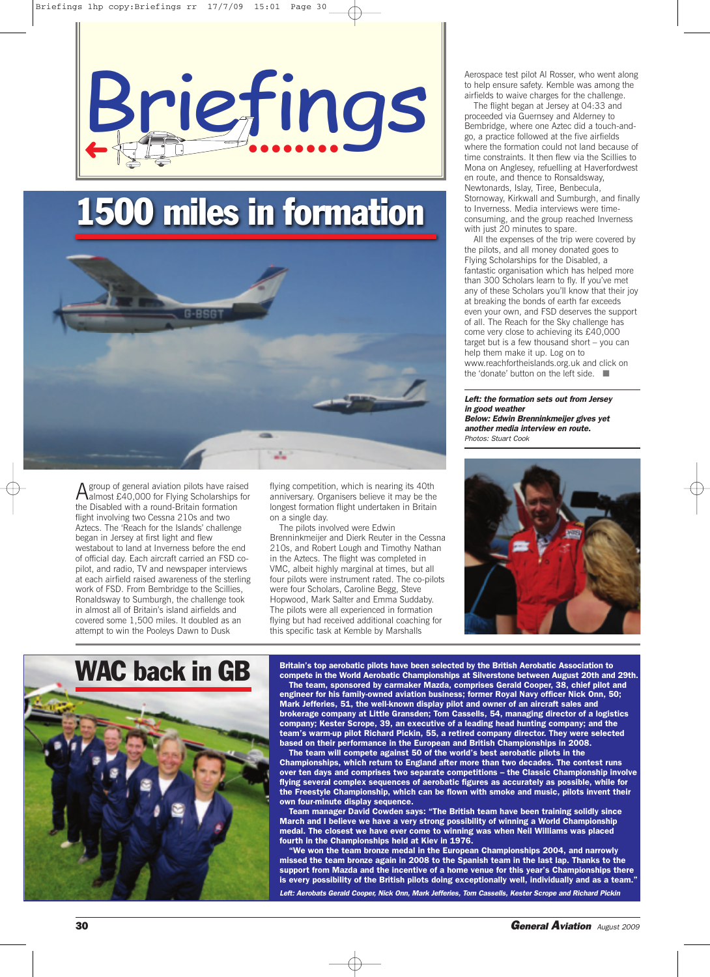

# **1500 miles in formation**



Agroup of general aviation pilots have raised almost £40,000 for Flying Scholarships for the Disabled with a round-Britain formation flight involving two Cessna 210s and two Aztecs. The 'Reach for the Islands' challenge began in Jersey at first light and flew westabout to land at Inverness before the end of official day. Each aircraft carried an FSD copilot, and radio, TV and newspaper interviews at each airfield raised awareness of the sterling work of FSD. From Bembridge to the Scillies, Ronaldsway to Sumburgh, the challenge took in almost all of Britain's island airfields and covered some 1,500 miles. It doubled as an attempt to win the Pooleys Dawn to Dusk

flying competition, which is nearing its 40th anniversary. Organisers believe it may be the longest formation flight undertaken in Britain on a single day.

The pilots involved were Edwin Brenninkmeijer and Dierk Reuter in the Cessna 210s, and Robert Lough and Timothy Nathan in the Aztecs. The flight was completed in VMC, albeit highly marginal at times, but all four pilots were instrument rated. The co-pilots were four Scholars, Caroline Begg, Steve Hopwood, Mark Salter and Emma Suddaby. The pilots were all experienced in formation flying but had received additional coaching for this specific task at Kemble by Marshalls

Aerospace test pilot Al Rosser, who went along to help ensure safety. Kemble was among the airfields to waive charges for the challenge.

The flight began at Jersey at 04:33 and proceeded via Guernsey and Alderney to Bembridge, where one Aztec did a touch-andgo, a practice followed at the five airfields where the formation could not land because of time constraints. It then flew via the Scillies to Mona on Anglesey, refuelling at Haverfordwest en route, and thence to Ronsaldsway, Newtonards, Islay, Tiree, Benbecula, Stornoway, Kirkwall and Sumburgh, and finally to Inverness. Media interviews were timeconsuming, and the group reached Inverness with just 20 minutes to spare.

All the expenses of the trip were covered by the pilots, and all money donated goes to Flying Scholarships for the Disabled, a fantastic organisation which has helped more than 300 Scholars learn to fly. If you've met any of these Scholars you'll know that their joy at breaking the bonds of earth far exceeds even your own, and FSD deserves the support of all. The Reach for the Sky challenge has come very close to achieving its £40,000 target but is a few thousand short – you can help them make it up. Log on to www.reachfortheislands.org.uk and click on the 'donate' button on the left side. ■

*Left: the formation sets out from Jersey in good weather Below: Edwin Brenninkmeijer gives yet another media interview en route. Photos: Stuart Cook*





**Britain's top aerobatic pilots have been selected by the British Aerobatic Association to compete in the World Aerobatic Championships at Silverstone between August 20th and 29th. The team, sponsored by carmaker Mazda, comprises Gerald Cooper, 38, chief pilot and engineer for his family-owned aviation business; former Royal Navy officer Nick Onn, 50; Mark Jefferies, 51, the well-known display pilot and owner of an aircraft sales and brokerage company at Little Gransden; Tom Cassells, 54, managing director of a logistics company; Kester Scrope, 39, an executive of a leading head hunting company; and the team's warm-up pilot Richard Pickin, 55, a retired company director. They were selected based on their performance in the European and British Championships in 2008.**

**The team will compete against 50 of the world's best aerobatic pilots in the Championships, which return to England after more than two decades. The contest runs over ten days and comprises two separate competitions – the Classic Championship involve flying several complex sequences of aerobatic figures as accurately as possible, while for the Freestyle Championship, which can be flown with smoke and music, pilots invent their own four-minute display sequence.**

**Team manager David Cowden says: "The British team have been training solidly since March and I believe we have a very strong possibility of winning a World Championship medal. The closest we have ever come to winning was when Neil Williams was placed fourth in the Championships held at Kiev in 1976.**

**"We won the team bronze medal in the European Championships 2004, and narrowly missed the team bronze again in 2008 to the Spanish team in the last lap. Thanks to the support from Mazda and the incentive of a home venue for this year's Championships there is every possibility of the British pilots doing exceptionally well, individually and as a team."**

*Left: Aerobats Gerald Cooper, Nick Onn, Mark Jefferies, Tom Cassells, Kester Scrope and Richard Pickin*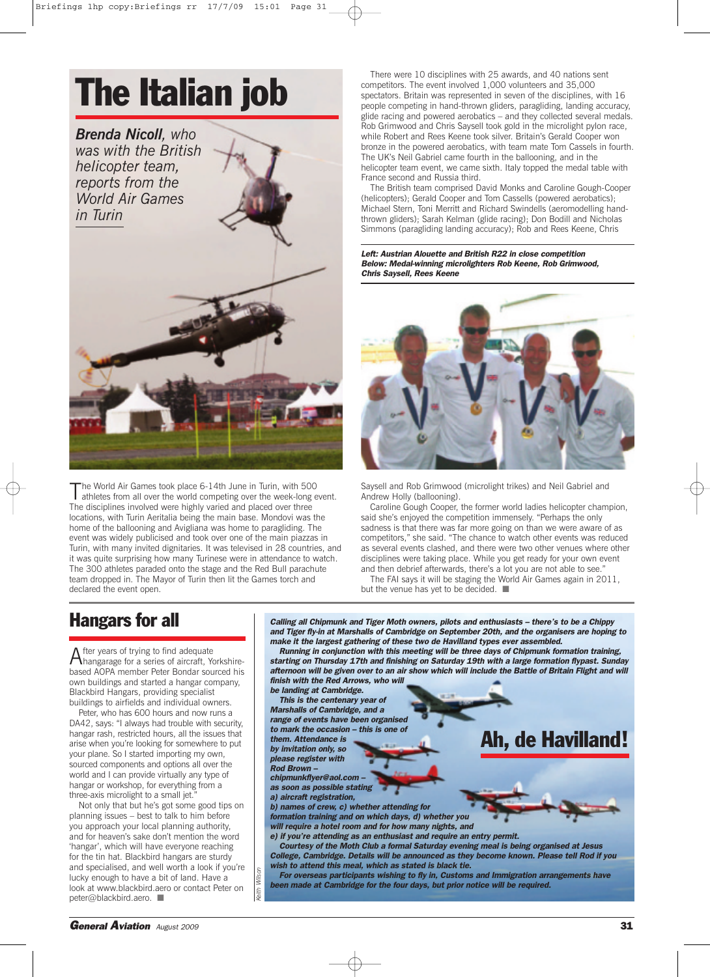# **The Italian job**

*Brenda Nicoll, who was with the British helicopter team, reports from the World Air Games in Turin*

The World Air Games took place 6-14th June in Turin, with 500 athletes from all over the world competing over the week-long event. The disciplines involved were highly varied and placed over three locations, with Turin Aeritalia being the main base. Mondovi was the home of the ballooning and Avigliana was home to paragliding. The event was widely publicised and took over one of the main piazzas in Turin, with many invited dignitaries. It was televised in 28 countries, and it was quite surprising how many Turinese were in attendance to watch. The 300 athletes paraded onto the stage and the Red Bull parachute team dropped in. The Mayor of Turin then lit the Games torch and declared the event open.

There were 10 disciplines with 25 awards, and 40 nations sent competitors. The event involved 1,000 volunteers and 35,000 spectators. Britain was represented in seven of the disciplines, with 16 people competing in hand-thrown gliders, paragliding, landing accuracy, glide racing and powered aerobatics – and they collected several medals. Rob Grimwood and Chris Saysell took gold in the microlight pylon race, while Robert and Rees Keene took silver. Britain's Gerald Cooper won bronze in the powered aerobatics, with team mate Tom Cassels in fourth. The UK's Neil Gabriel came fourth in the ballooning, and in the helicopter team event, we came sixth. Italy topped the medal table with France second and Russia third.

The British team comprised David Monks and Caroline Gough-Cooper (helicopters); Gerald Cooper and Tom Cassells (powered aerobatics); Michael Stern, Toni Merritt and Richard Swindells (aeromodelling handthrown gliders); Sarah Kelman (glide racing); Don Bodill and Nicholas Simmons (paragliding landing accuracy); Rob and Rees Keene, Chris

*Left: Austrian Alouette and British R22 in close competition Below: Medal-winning microlighters Rob Keene, Rob Grimwood, Chris Saysell, Rees Keene*



Saysell and Rob Grimwood (microlight trikes) and Neil Gabriel and Andrew Holly (ballooning).

Caroline Gough Cooper, the former world ladies helicopter champion, said she's enjoyed the competition immensely. "Perhaps the only sadness is that there was far more going on than we were aware of as competitors," she said. "The chance to watch other events was reduced as several events clashed, and there were two other venues where other disciplines were taking place. While you get ready for your own event and then debrief afterwards, there's a lot you are not able to see.

The FAI says it will be staging the World Air Games again in 2011, but the venue has yet to be decided. ■

#### **Hangars for all**

After years of trying to find adequate hangarage for a series of aircraft, Yorkshirebased AOPA member Peter Bondar sourced his own buildings and started a hangar company, Blackbird Hangars, providing specialist buildings to airfields and individual owners.

Peter, who has 600 hours and now runs a DA42, says: "I always had trouble with security, hangar rash, restricted hours, all the issues that arise when you're looking for somewhere to put your plane. So I started importing my own, sourced components and options all over the world and I can provide virtually any type of hangar or workshop, for everything from a three-axis microlight to a small jet."

Not only that but he's got some good tips on planning issues – best to talk to him before you approach your local planning authority, and for heaven's sake don't mention the word 'hangar', which will have everyone reaching for the tin hat. Blackbird hangars are sturdy and specialised, and well worth a look if you're lucky enough to have a bit of land. Have a look at www.blackbird.aero or contact Peter on peter@blackbird.aero. ■

*Calling all Chipmunk and Tiger Moth owners, pilots and enthusiasts – there's to be a Chippy and Tiger fly-in at Marshalls of Cambridge on September 20th, and the organisers are hoping to make it the largest gathering of these two de Havilland types ever assembled.*

*Running in conjunction with this meeting will be three days of Chipmunk formation training, starting on Thursday 17th and finishing on Saturday 19th with a large formation flypast. Sunday* afternoon will be given over to an air show which will include the Battle of Britain Flight and will *finish with the Red Arrows, who will*

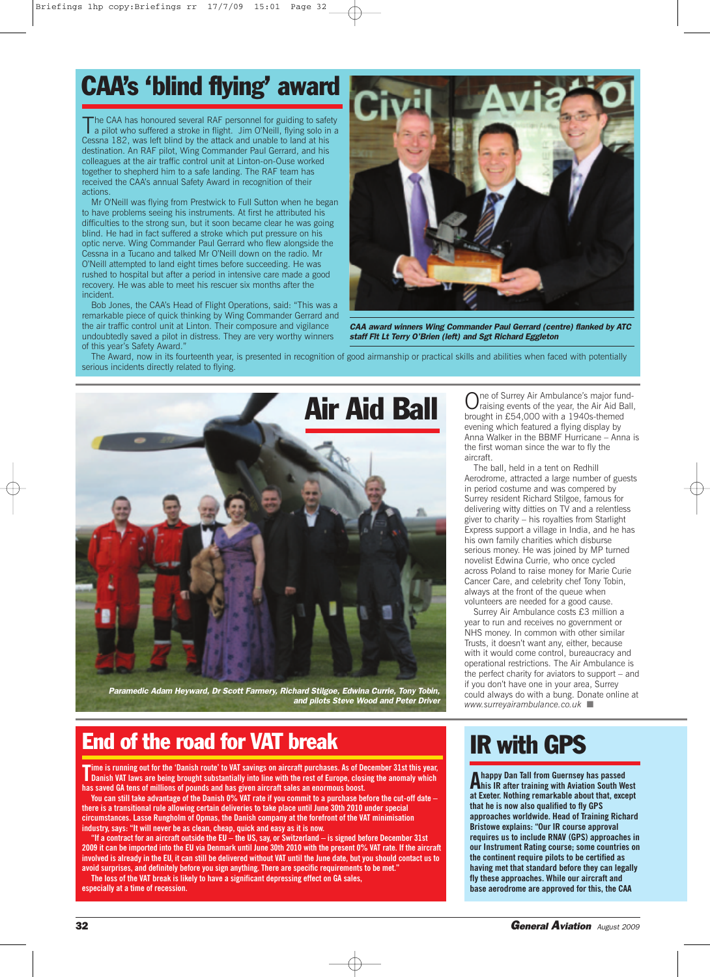# **CAA's 'blind flying' award**

The CAA has honoured several RAF personnel for guiding to safety<br>a pilot who suffered a stroke in flight. Jim O'Neill, flying solo in a Cessna 182, was left blind by the attack and unable to land at his destination. An RAF pilot, Wing Commander Paul Gerrard, and his colleagues at the air traffic control unit at Linton-on-Ouse worked together to shepherd him to a safe landing. The RAF team has received the CAA's annual Safety Award in recognition of their actions.

Mr O'Neill was flying from Prestwick to Full Sutton when he began to have problems seeing his instruments. At first he attributed his difficulties to the strong sun, but it soon became clear he was going blind. He had in fact suffered a stroke which put pressure on his optic nerve. Wing Commander Paul Gerrard who flew alongside the Cessna in a Tucano and talked Mr O'Neill down on the radio. Mr O'Neill attempted to land eight times before succeeding. He was rushed to hospital but after a period in intensive care made a good recovery. He was able to meet his rescuer six months after the incident.

Bob Jones, the CAA's Head of Flight Operations, said: "This was a remarkable piece of quick thinking by Wing Commander Gerrard and the air traffic control unit at Linton. Their composure and vigilance undoubtedly saved a pilot in distress. They are very worthy winners of this year's Safety Award."



*CAA award winners Wing Commander Paul Gerrard (centre) flanked by ATC staff Flt Lt Terry O'Brien (left) and Sgt Richard Eggleton*

The Award, now in its fourteenth year, is presented in recognition of good airmanship or practical skills and abilities when faced with potentially serious incidents directly related to flying.



*Paramedic Adam Heyward, Dr Scott Farmery, Richard Stilgoe, Edwina Currie, Tony Tobin, and pilots Steve Wood and Peter Driver*

### **End of the road for VAT break**

Time is running out for the 'Danish route' to VAT savings on aircraft purchases. As of December 31st this year<br>Danish VAT laws are being brought substantially into line with the rest of Europe, closing the anomaly which me is running out for the 'Danish route' to VAT savings on aircraft purchases. As of December 31st this year, **has saved GA tens of millions of pounds and has given aircraft sales an enormous boost.**

You can still take advantage of the Danish 0% VAT rate if you commit to a purchase before the cut-off date **there is a transitional rule allowing certain deliveries to take place until June 30th 2010 under special circumstances. Lasse Rungholm of Opmas, the Danish company at the forefront of the VAT minimisation industry, says: "It will never be as clean, cheap, quick and easy as it is now.**

"If a contract for an aircraft outside the EU - the US, say, or Switzerland - is signed before December 31st 2009 it can be imported into the EU via Denmark until June 30th 2010 with the present 0% VAT rate. If the aircraft involved is already in the EU, it can still be delivered without VAT until the June date, but you should contact us to **avoid surprises, and definitely before you sign anything. There are specific requirements to be met." The loss of the VAT break is likely to have a significant depressing effect on GA sales, especially at a time of recession.**

Air Aid Ball Orasing events of the year, the Air Aid Ball brought in £54,000 with a 1940s-themed raising events of the year, the Air Aid Ball, brought in £54,000 with a 1940s-themed evening which featured a flying display by Anna Walker in the BBMF Hurricane – Anna is the first woman since the war to fly the aircraft.

> The ball, held in a tent on Redhill Aerodrome, attracted a large number of guests in period costume and was compered by Surrey resident Richard Stilgoe, famous for delivering witty ditties on TV and a relentless giver to charity – his royalties from Starlight Express support a village in India, and he has his own family charities which disburse serious money. He was joined by MP turned novelist Edwina Currie, who once cycled across Poland to raise money for Marie Curie Cancer Care, and celebrity chef Tony Tobin, always at the front of the queue when volunteers are needed for a good cause.

Surrey Air Ambulance costs £3 million a year to run and receives no government or NHS money. In common with other similar Trusts, it doesn't want any, either, because with it would come control, bureaucracy and operational restrictions. The Air Ambulance is the perfect charity for aviators to support – and if you don't have one in your area, Surrey could always do with a bung. Donate online at *www.surreyairambulance.co.uk* ■

## **IR with GPS**

**A happy Dan Tall from Guernsey has passed his IR after training with Aviation South West at Exeter. Nothing remarkable about that, except that he is now also qualified to fly GPS approaches worldwide. Head of Training Richard Bristowe explains: "Our IR course approval requires us to include RNAV (GPS) approaches in our Instrument Rating course; some countries on the continent require pilots to be certified as having met that standard before they can legally fly these approaches. While our aircraft and base aerodrome are approved for this, the CAA**